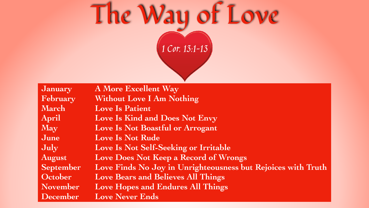

**January February March April May June July August September October November December**

**A More Excellent Way Without Love I Am Nothing Love Is Patient Love Is Kind and Does Not Envy Love Is Not Boastful or Arrogant Love Is Not Rude Love Is Not Self-Seeking or Irritable Love Does Not Keep a Record of Wrongs Love Finds No Joy in Unrighteousness but Rejoices with Truth Love Bears and Believes All Things Love Hopes and Endures All Things Love Never Ends**

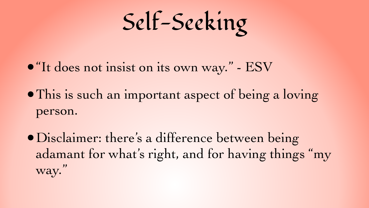Self-Seeking

#### •"It does not insist on its own way." - ESV

•Disclaimer: there's a difference between being adamant for what's right, and for having things "my way."

#### •This is such an important aspect of being a loving

person.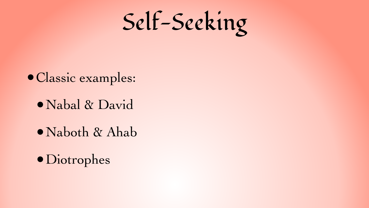

### •Classic examples: •Nabal & David •Naboth & Ahab •Diotrophes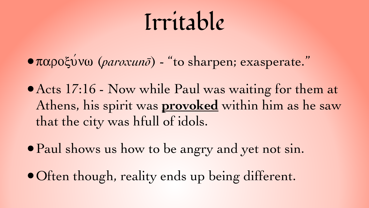## Irritable

•παροξύνω (*paroxunō*) - "to sharpen; exasperate."

• Acts 17:16 - Now while Paul was waiting for them at Athens, his spirit was **provoked** within him as he saw that the city was hfull of idols.

• Paul shows us how to be angry and yet not sin.

•Often though, reality ends up being different.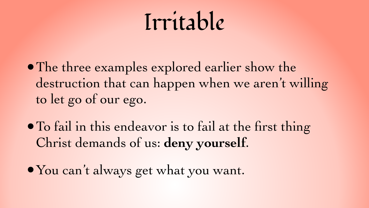## Irritable

destruction that can happen when we aren't willing

- •The three examples explored earlier show the to let go of our ego.
- •To fail in this endeavor is to fail at the first thing Christ demands of us: **deny yourself**.
- •You can't always get what you want.